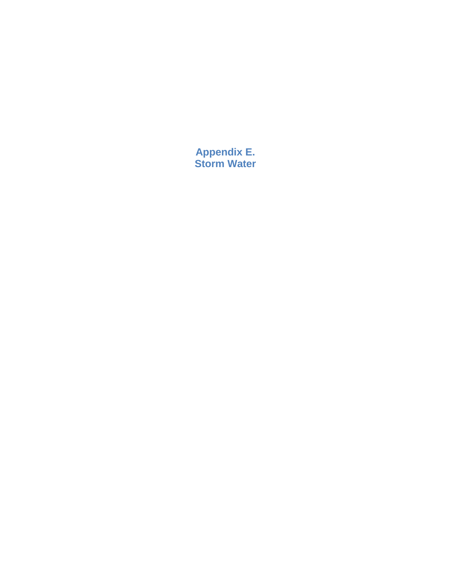**Appendix E. Storm Water**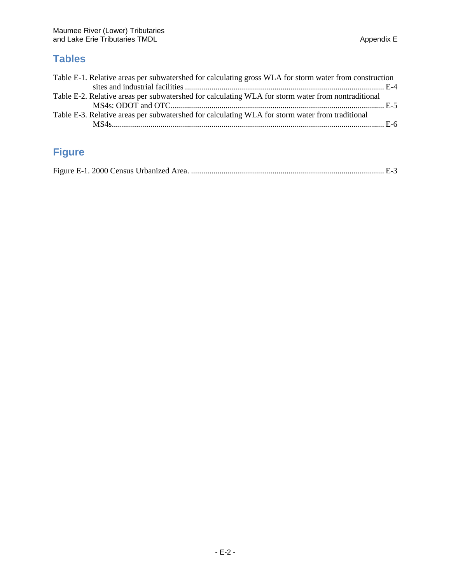## **Tables**

| Table E-1. Relative areas per subwatershed for calculating gross WLA for storm water from construction |  |
|--------------------------------------------------------------------------------------------------------|--|
|                                                                                                        |  |
| Table E-2. Relative areas per subwatershed for calculating WLA for storm water from nontraditional     |  |
|                                                                                                        |  |
| Table E-3. Relative areas per subwatershed for calculating WLA for storm water from traditional        |  |
|                                                                                                        |  |

## **Figure**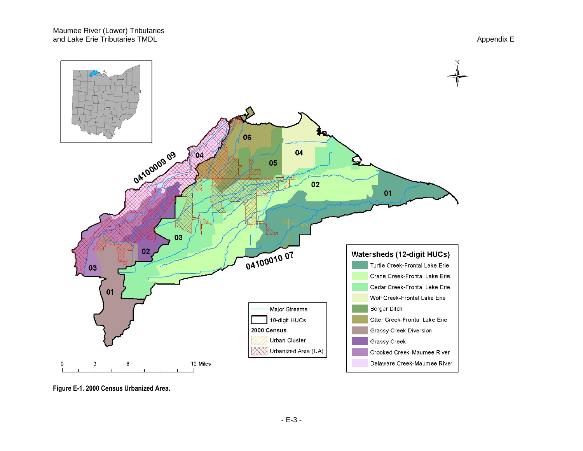

**Figure E-1. 2000 Census Urbanized Area.**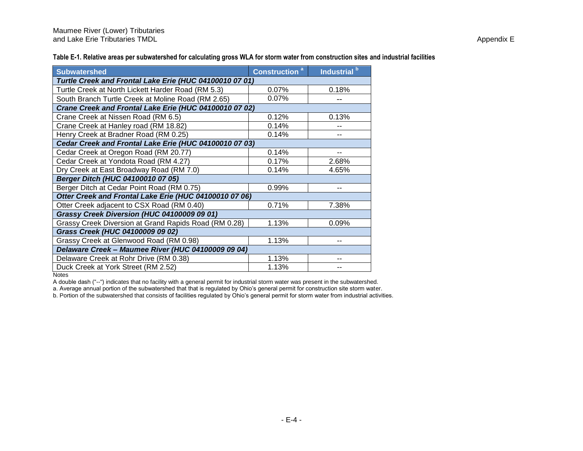**Table E-1. Relative areas per subwatershed for calculating gross WLA for storm water from construction sites and industrial facilities**

| <b>Subwatershed</b>                                     | Construction <sup>a</sup> | Industrial <sup>b</sup> |  |  |  |  |  |  |  |
|---------------------------------------------------------|---------------------------|-------------------------|--|--|--|--|--|--|--|
| Turtle Creek and Frontal Lake Erie (HUC 04100010 07 01) |                           |                         |  |  |  |  |  |  |  |
| Turtle Creek at North Lickett Harder Road (RM 5.3)      | 0.07%                     | 0.18%                   |  |  |  |  |  |  |  |
| South Branch Turtle Creek at Moline Road (RM 2.65)      | 0.07%                     |                         |  |  |  |  |  |  |  |
| Crane Creek and Frontal Lake Erie (HUC 04100010 07 02)  |                           |                         |  |  |  |  |  |  |  |
| Crane Creek at Nissen Road (RM 6.5)                     | 0.12%                     | 0.13%                   |  |  |  |  |  |  |  |
| Crane Creek at Hanley road (RM 18.82)                   | 0.14%                     |                         |  |  |  |  |  |  |  |
| Henry Creek at Bradner Road (RM 0.25)                   | 0.14%                     |                         |  |  |  |  |  |  |  |
| Cedar Creek and Frontal Lake Erie (HUC 04100010 07 03)  |                           |                         |  |  |  |  |  |  |  |
| Cedar Creek at Oregon Road (RM 20.77)                   | 0.14%                     |                         |  |  |  |  |  |  |  |
| Cedar Creek at Yondota Road (RM 4.27)                   | 0.17%                     | 2.68%                   |  |  |  |  |  |  |  |
| Dry Creek at East Broadway Road (RM 7.0)                | 0.14%                     | 4.65%                   |  |  |  |  |  |  |  |
| Berger Ditch (HUC 04100010 07 05)                       |                           |                         |  |  |  |  |  |  |  |
| Berger Ditch at Cedar Point Road (RM 0.75)              | 0.99%                     |                         |  |  |  |  |  |  |  |
| Otter Creek and Frontal Lake Erie (HUC 04100010 07 06)  |                           |                         |  |  |  |  |  |  |  |
| Otter Creek adjacent to CSX Road (RM 0.40)              | 0.71%                     | 7.38%                   |  |  |  |  |  |  |  |
| Grassy Creek Diversion (HUC 04100009 09 01)             |                           |                         |  |  |  |  |  |  |  |
| Grassy Creek Diversion at Grand Rapids Road (RM 0.28)   | 1.13%                     | 0.09%                   |  |  |  |  |  |  |  |
| Grass Creek (HUC 04100009 09 02)                        |                           |                         |  |  |  |  |  |  |  |
| Grassy Creek at Glenwood Road (RM 0.98)                 | 1.13%                     |                         |  |  |  |  |  |  |  |
| Delaware Creek - Maumee River (HUC 04100009 09 04)      |                           |                         |  |  |  |  |  |  |  |
| Delaware Creek at Rohr Drive (RM 0.38)                  | 1.13%                     |                         |  |  |  |  |  |  |  |
| Duck Creek at York Street (RM 2.52)                     | 1.13%                     |                         |  |  |  |  |  |  |  |

**Notes** 

A double dash ("--") indicates that no facility with a general permit for industrial storm water was present in the subwatershed.

a. Average annual portion of the subwatershed that that is regulated by Ohio's general permit for construction site storm water.

b. Portion of the subwatershed that consists of facilities regulated by Ohio's general permit for storm water from industrial activities.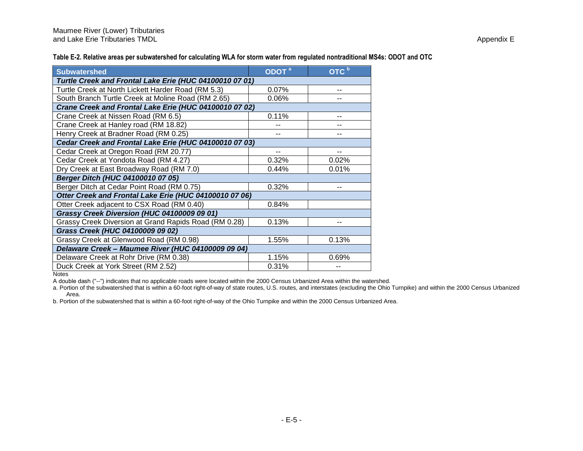**Table E-2. Relative areas per subwatershed for calculating WLA for storm water from regulated nontraditional MS4s: ODOT and OTC**

| Subwatershed                                            | ODOT <sup>a</sup> | OTC <sup>b</sup> |  |  |  |  |  |  |
|---------------------------------------------------------|-------------------|------------------|--|--|--|--|--|--|
| Turtle Creek and Frontal Lake Erie (HUC 04100010 07 01) |                   |                  |  |  |  |  |  |  |
| Turtle Creek at North Lickett Harder Road (RM 5.3)      | 0.07%             |                  |  |  |  |  |  |  |
| South Branch Turtle Creek at Moline Road (RM 2.65)      | 0.06%             |                  |  |  |  |  |  |  |
| Crane Creek and Frontal Lake Erie (HUC 04100010 07 02)  |                   |                  |  |  |  |  |  |  |
| Crane Creek at Nissen Road (RM 6.5)                     | 0.11%             |                  |  |  |  |  |  |  |
| Crane Creek at Hanley road (RM 18.82)                   |                   |                  |  |  |  |  |  |  |
| Henry Creek at Bradner Road (RM 0.25)                   |                   |                  |  |  |  |  |  |  |
| Cedar Creek and Frontal Lake Erie (HUC 04100010 07 03)  |                   |                  |  |  |  |  |  |  |
| Cedar Creek at Oregon Road (RM 20.77)                   |                   |                  |  |  |  |  |  |  |
| Cedar Creek at Yondota Road (RM 4.27)                   | 0.32%             | 0.02%            |  |  |  |  |  |  |
| Dry Creek at East Broadway Road (RM 7.0)                | 0.44%             | 0.01%            |  |  |  |  |  |  |
| Berger Ditch (HUC 04100010 07 05)                       |                   |                  |  |  |  |  |  |  |
| Berger Ditch at Cedar Point Road (RM 0.75)              | 0.32%             | $-$              |  |  |  |  |  |  |
| Otter Creek and Frontal Lake Erie (HUC 04100010 07 06)  |                   |                  |  |  |  |  |  |  |
| Otter Creek adjacent to CSX Road (RM 0.40)              | 0.84%             |                  |  |  |  |  |  |  |
| Grassy Creek Diversion (HUC 04100009 09 01)             |                   |                  |  |  |  |  |  |  |
| Grassy Creek Diversion at Grand Rapids Road (RM 0.28)   | 0.13%             |                  |  |  |  |  |  |  |
| Grass Creek (HUC 04100009 09 02)                        |                   |                  |  |  |  |  |  |  |
| Grassy Creek at Glenwood Road (RM 0.98)                 | 1.55%             | 0.13%            |  |  |  |  |  |  |
| Delaware Creek - Maumee River (HUC 04100009 09 04)      |                   |                  |  |  |  |  |  |  |
| Delaware Creek at Rohr Drive (RM 0.38)                  | 1.15%             | 0.69%            |  |  |  |  |  |  |
| Duck Creek at York Street (RM 2.52)                     | 0.31%             |                  |  |  |  |  |  |  |

**Notes** 

A double dash ("--") indicates that no applicable roads were located within the 2000 Census Urbanized Area within the watershed.

a. Portion of the subwatershed that is within a 60-foot right-of-way of state routes, U.S. routes, and interstates (excluding the Ohio Turnpike) and within the 2000 Census Urbanized Area.

b. Portion of the subwatershed that is within a 60-foot right-of-way of the Ohio Turnpike and within the 2000 Census Urbanized Area.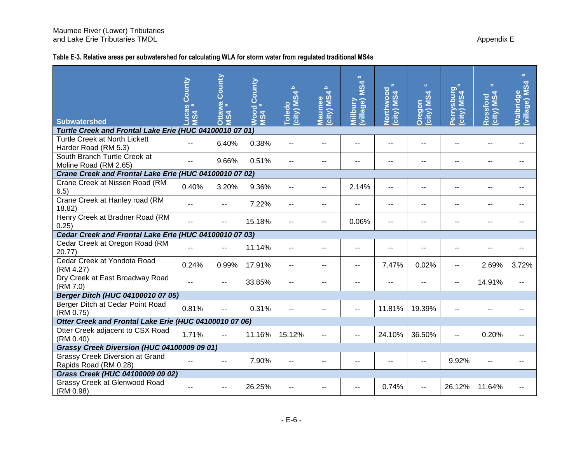## **Table E-3. Relative areas per subwatershed for calculating WLA for storm water from regulated traditional MS4s**

|                                                                 | County                     | County<br>awa<br>a       | County<br>$\varpi$ | $\mathbf{Q}$<br>city) MS4 | $\mathbf{Q}$<br>city) MS4 | $\mathbf{a}$<br><b>MS4</b>   | $\mathbf{D}$<br>Northwood<br>city) MS4 | $\bullet$<br>city) MS4 | Perrysburg<br>(city) MS4 | $\Delta$<br>city) MS4<br>Rossford | $\overline{\mathbf{C}}$<br>village) MS4<br><b>Walbridge</b> |
|-----------------------------------------------------------------|----------------------------|--------------------------|--------------------|---------------------------|---------------------------|------------------------------|----------------------------------------|------------------------|--------------------------|-----------------------------------|-------------------------------------------------------------|
| <b>Subwatershed</b>                                             | <b>PACAS</b><br><b>MS4</b> | <b>MS4</b><br>O          | Wood<br><b>MS4</b> | <b>Toledo</b>             | Maumee                    | (village)<br><b>Millbury</b> |                                        | Dregon                 |                          |                                   |                                                             |
| Turtle Creek and Frontal Lake Erie (HUC 04100010 07 01)         |                            |                          |                    |                           |                           |                              |                                        |                        |                          |                                   |                                                             |
| <b>Turtle Creek at North Lickett</b><br>Harder Road (RM 5.3)    | $-$                        | 6.40%                    | 0.38%              | $\sim$ $\sim$             |                           | --                           | --                                     | $-$                    |                          | --                                | $-$                                                         |
| South Branch Turtle Creek at<br>Moline Road (RM 2.65)           | $-$                        | 9.66%                    | 0.51%              | $\overline{\phantom{a}}$  |                           | --                           |                                        | --                     |                          | $-$                               |                                                             |
| Crane Creek and Frontal Lake Erie (HUC 04100010 07 02)          |                            |                          |                    |                           |                           |                              |                                        |                        |                          |                                   |                                                             |
| Crane Creek at Nissen Road (RM<br>6.5)                          | 0.40%                      | 3.20%                    | 9.36%              | --                        |                           | 2.14%                        | --                                     |                        |                          |                                   |                                                             |
| Crane Creek at Hanley road (RM<br>18.82)                        | --                         | $-$                      | 7.22%              | $\sim$                    | --                        |                              | $-$                                    | $-$                    | --                       | --                                |                                                             |
| Henry Creek at Bradner Road (RM<br>0.25)                        | --                         |                          | 15.18%             | $-$                       | --                        | 0.06%                        | --                                     | $-$                    |                          |                                   |                                                             |
| Cedar Creek and Frontal Lake Erie (HUC 04100010 07 03)          |                            |                          |                    |                           |                           |                              |                                        |                        |                          |                                   |                                                             |
| Cedar Creek at Oregon Road (RM<br>20.77                         | $-$                        | $-$                      | 11.14%             | $\overline{\phantom{a}}$  |                           | --                           | --                                     |                        |                          |                                   |                                                             |
| Cedar Creek at Yondota Road<br>(RM 4.27)                        | 0.24%                      | 0.99%                    | 17.91%             | $-$                       | --                        | --                           | 7.47%                                  | 0.02%                  | --                       | 2.69%                             | 3.72%                                                       |
| Dry Creek at East Broadway Road<br>(RM 7.0)                     | $-$                        | --                       | 33.85%             |                           |                           |                              |                                        |                        | $\overline{a}$           | 14.91%                            | $-$                                                         |
| Berger Ditch (HUC 04100010 07 05)                               |                            |                          |                    |                           |                           |                              |                                        |                        |                          |                                   |                                                             |
| Berger Ditch at Cedar Point Road<br>(RM 0.75)                   | 0.81%                      | $-$                      | 0.31%              | $-$                       |                           | --                           | 11.81%                                 | 19.39%                 |                          |                                   |                                                             |
| Otter Creek and Frontal Lake Erie (HUC 04100010 07 06)          |                            |                          |                    |                           |                           |                              |                                        |                        |                          |                                   |                                                             |
| Otter Creek adjacent to CSX Road<br>(RM 0.40)                   | 1.71%                      | $-$                      | 11.16%             | 15.12%                    | --                        | --                           | 24.10%                                 | 36.50%                 | $-$                      | 0.20%                             |                                                             |
| Grassy Creek Diversion (HUC 04100009 09 01)                     |                            |                          |                    |                           |                           |                              |                                        |                        |                          |                                   |                                                             |
| <b>Grassy Creek Diversion at Grand</b><br>Rapids Road (RM 0.28) | $-$                        | $\overline{\phantom{a}}$ | 7.90%              | $\sim$                    | --                        |                              | --                                     | --                     | 9.92%                    | $-1$                              |                                                             |
| Grass Creek (HUC 04100009 09 02)                                |                            |                          |                    |                           |                           |                              |                                        |                        |                          |                                   |                                                             |
| Grassy Creek at Glenwood Road<br>(RM 0.98)                      |                            |                          | 26.25%             |                           |                           |                              | 0.74%                                  |                        | 26.12%                   | 11.64%                            |                                                             |